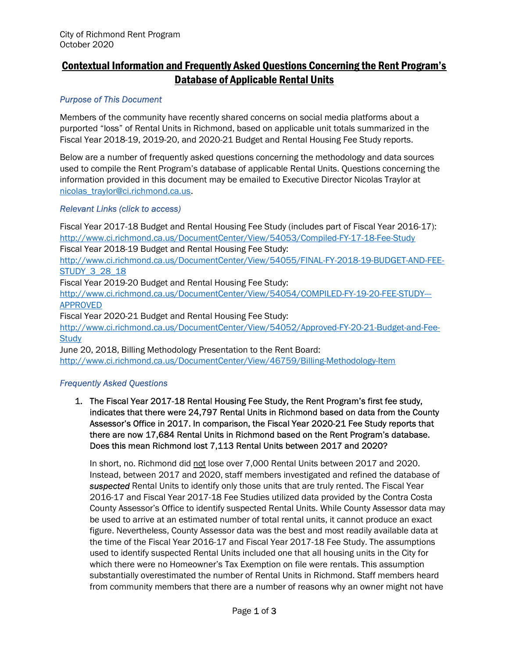# Contextual Information and Frequently Asked Questions Concerning the Rent Program's Database of Applicable Rental Units

## Purpose of This Document

Members of the community have recently shared concerns on social media platforms about a purported "loss" of Rental Units in Richmond, based on applicable unit totals summarized in the Fiscal Year 2018-19, 2019-20, and 2020-21 Budget and Rental Housing Fee Study reports.

Below are a number of frequently asked questions concerning the methodology and data sources used to compile the Rent Program's database of applicable Rental Units. Questions concerning the information provided in this document may be emailed to Executive Director Nicolas Traylor at nicolas\_traylor@ci.richmond.ca.us.

### Relevant Links (click to access)

Fiscal Year 2017-18 Budget and Rental Housing Fee Study (includes part of Fiscal Year 2016-17): http://www.ci.richmond.ca.us/DocumentCenter/View/54053/Compiled-FY-17-18-Fee-Study Fiscal Year 2018-19 Budget and Rental Housing Fee Study:

http://www.ci.richmond.ca.us/DocumentCenter/View/54055/FINAL-FY-2018-19-BUDGET-AND-FEE-STUDY\_3\_28\_18

Fiscal Year 2019-20 Budget and Rental Housing Fee Study:

http://www.ci.richmond.ca.us/DocumentCenter/View/54054/COMPILED-FY-19-20-FEE-STUDY--- APPROVED

Fiscal Year 2020-21 Budget and Rental Housing Fee Study:

http://www.ci.richmond.ca.us/DocumentCenter/View/54052/Approved-FY-20-21-Budget-and-Fee-**Study** 

June 20, 2018, Billing Methodology Presentation to the Rent Board: http://www.ci.richmond.ca.us/DocumentCenter/View/46759/Billing-Methodology-Item

## Frequently Asked Questions

1. The Fiscal Year 2017-18 Rental Housing Fee Study, the Rent Program's first fee study, indicates that there were 24,797 Rental Units in Richmond based on data from the County Assessor's Office in 2017. In comparison, the Fiscal Year 2020-21 Fee Study reports that there are now 17,684 Rental Units in Richmond based on the Rent Program's database. Does this mean Richmond lost 7,113 Rental Units between 2017 and 2020?

In short, no. Richmond did not lose over 7,000 Rental Units between 2017 and 2020. Instead, between 2017 and 2020, staff members investigated and refined the database of suspected Rental Units to identify only those units that are truly rented. The Fiscal Year 2016-17 and Fiscal Year 2017-18 Fee Studies utilized data provided by the Contra Costa County Assessor's Office to identify suspected Rental Units. While County Assessor data may be used to arrive at an estimated number of total rental units, it cannot produce an exact figure. Nevertheless, County Assessor data was the best and most readily available data at the time of the Fiscal Year 2016-17 and Fiscal Year 2017-18 Fee Study. The assumptions used to identify suspected Rental Units included one that all housing units in the City for which there were no Homeowner's Tax Exemption on file were rentals. This assumption substantially overestimated the number of Rental Units in Richmond. Staff members heard from community members that there are a number of reasons why an owner might not have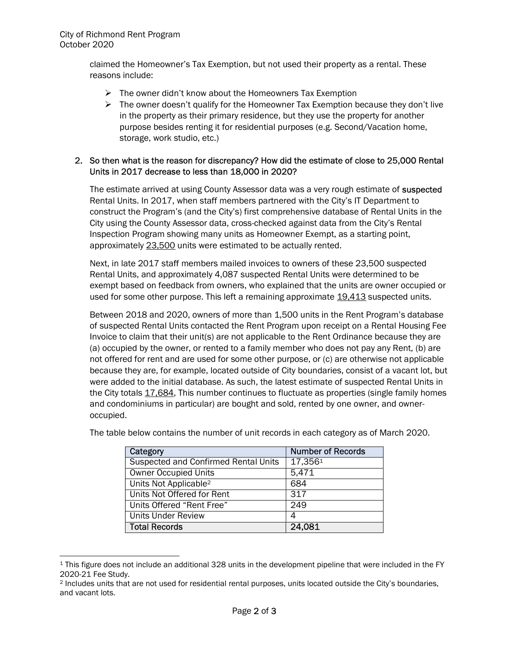$\overline{a}$ 

claimed the Homeowner's Tax Exemption, but not used their property as a rental. These reasons include:

- $\triangleright$  The owner didn't know about the Homeowners Tax Exemption
- $\triangleright$  The owner doesn't qualify for the Homeowner Tax Exemption because they don't live in the property as their primary residence, but they use the property for another purpose besides renting it for residential purposes (e.g. Second/Vacation home, storage, work studio, etc.)

#### 2. So then what is the reason for discrepancy? How did the estimate of close to 25,000 Rental Units in 2017 decrease to less than 18,000 in 2020?

The estimate arrived at using County Assessor data was a very rough estimate of suspected Rental Units. In 2017, when staff members partnered with the City's IT Department to construct the Program's (and the City's) first comprehensive database of Rental Units in the City using the County Assessor data, cross-checked against data from the City's Rental Inspection Program showing many units as Homeowner Exempt, as a starting point, approximately 23,500 units were estimated to be actually rented.

Next, in late 2017 staff members mailed invoices to owners of these 23,500 suspected Rental Units, and approximately 4,087 suspected Rental Units were determined to be exempt based on feedback from owners, who explained that the units are owner occupied or used for some other purpose. This left a remaining approximate 19,413 suspected units.

Between 2018 and 2020, owners of more than 1,500 units in the Rent Program's database of suspected Rental Units contacted the Rent Program upon receipt on a Rental Housing Fee Invoice to claim that their unit(s) are not applicable to the Rent Ordinance because they are (a) occupied by the owner, or rented to a family member who does not pay any Rent, (b) are not offered for rent and are used for some other purpose, or (c) are otherwise not applicable because they are, for example, located outside of City boundaries, consist of a vacant lot, but were added to the initial database. As such, the latest estimate of suspected Rental Units in the City totals 17,684, This number continues to fluctuate as properties (single family homes and condominiums in particular) are bought and sold, rented by one owner, and owneroccupied.

| Category                             | <b>Number of Records</b> |
|--------------------------------------|--------------------------|
| Suspected and Confirmed Rental Units | 17,3561                  |
| <b>Owner Occupied Units</b>          | 5,471                    |
| Units Not Applicable <sup>2</sup>    | 684                      |
| Units Not Offered for Rent           | 317                      |
| Units Offered "Rent Free"            | 249                      |
| Units Under Review                   | 4                        |
| <b>Total Records</b>                 | 24.081                   |

The table below contains the number of unit records in each category as of March 2020.

<sup>1</sup> This figure does not include an additional 328 units in the development pipeline that were included in the FY 2020-21 Fee Study.

<sup>2</sup> Includes units that are not used for residential rental purposes, units located outside the City's boundaries, and vacant lots.